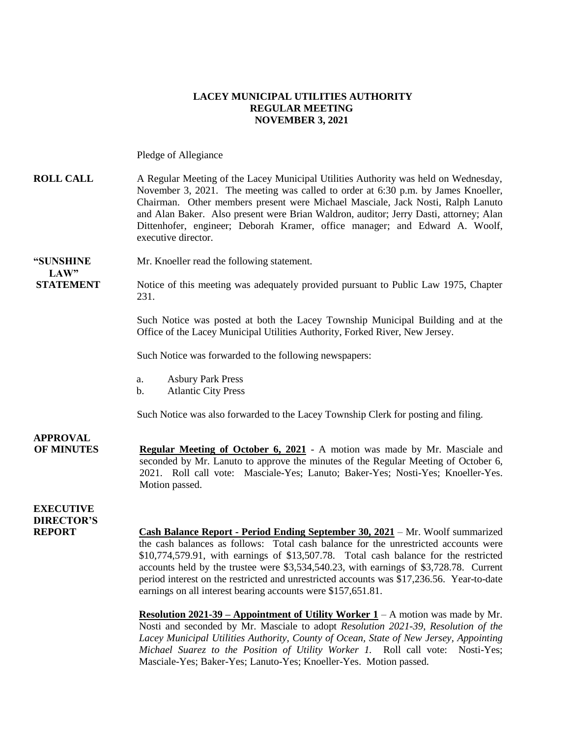#### **LACEY MUNICIPAL UTILITIES AUTHORITY REGULAR MEETING NOVEMBER 3, 2021**

Pledge of Allegiance

#### **ROLL CALL** A Regular Meeting of the Lacey Municipal Utilities Authority was held on Wednesday, November 3, 2021. The meeting was called to order at 6:30 p.m. by James Knoeller, Chairman. Other members present were Michael Masciale, Jack Nosti, Ralph Lanuto and Alan Baker. Also present were Brian Waldron, auditor; Jerry Dasti, attorney; Alan Dittenhofer, engineer; Deborah Kramer, office manager; and Edward A. Woolf, executive director.

# **LAW"**

**"SUNSHINE** Mr. Knoeller read the following statement.

**STATEMENT** Notice of this meeting was adequately provided pursuant to Public Law 1975, Chapter 231.

> Such Notice was posted at both the Lacey Township Municipal Building and at the Office of the Lacey Municipal Utilities Authority, Forked River, New Jersey.

Such Notice was forwarded to the following newspapers:

- a. Asbury Park Press
- b. Atlantic City Press

Such Notice was also forwarded to the Lacey Township Clerk for posting and filing.

**APPROVAL OF MINUTES Regular Meeting of October 6, 2021** - A motion was made by Mr. Masciale and seconded by Mr. Lanuto to approve the minutes of the Regular Meeting of October 6, 2021. Roll call vote: Masciale-Yes; Lanuto; Baker-Yes; Nosti-Yes; Knoeller-Yes. Motion passed.

### **EXECUTIVE DIRECTOR'S**

**REPORT Cash Balance Report - Period Ending September 30, 2021** – Mr. Woolf summarized the cash balances as follows: Total cash balance for the unrestricted accounts were \$10,774,579.91, with earnings of \$13,507.78. Total cash balance for the restricted accounts held by the trustee were \$3,534,540.23, with earnings of \$3,728.78. Current period interest on the restricted and unrestricted accounts was \$17,236.56. Year-to-date earnings on all interest bearing accounts were \$157,651.81.

> **Resolution 2021-39 – Appointment of Utility Worker 1** – A motion was made by Mr. Nosti and seconded by Mr. Masciale to adopt *Resolution 2021-39, Resolution of the Lacey Municipal Utilities Authority, County of Ocean, State of New Jersey, Appointing Michael Suarez to the Position of Utility Worker 1.* Roll call vote: Nosti-Yes; Masciale-Yes; Baker-Yes; Lanuto-Yes; Knoeller-Yes. Motion passed.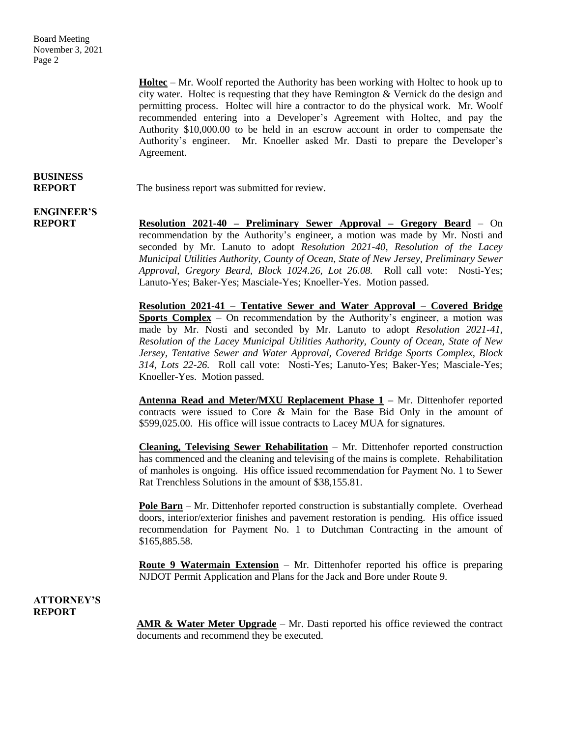> **Holtec** – Mr. Woolf reported the Authority has been working with Holtec to hook up to city water. Holtec is requesting that they have Remington  $&$  Vernick do the design and permitting process. Holtec will hire a contractor to do the physical work. Mr. Woolf recommended entering into a Developer's Agreement with Holtec, and pay the Authority \$10,000.00 to be held in an escrow account in order to compensate the Authority's engineer. Mr. Knoeller asked Mr. Dasti to prepare the Developer's Agreement.

## **BUSINESS**

**REPORT** The business report was submitted for review.

### **ENGINEER'S**

**REPORT Resolution 2021-40 – Preliminary Sewer Approval – Gregory Beard** – On recommendation by the Authority's engineer, a motion was made by Mr. Nosti and seconded by Mr. Lanuto to adopt *Resolution 2021-40, Resolution of the Lacey Municipal Utilities Authority, County of Ocean, State of New Jersey, Preliminary Sewer Approval, Gregory Beard, Block 1024.26, Lot 26.08.* Roll call vote: Nosti-Yes; Lanuto-Yes; Baker-Yes; Masciale-Yes; Knoeller-Yes. Motion passed.

> **Resolution 2021-41 – Tentative Sewer and Water Approval – Covered Bridge Sports Complex** – On recommendation by the Authority's engineer, a motion was made by Mr. Nosti and seconded by Mr. Lanuto to adopt *Resolution 2021-41, Resolution of the Lacey Municipal Utilities Authority, County of Ocean, State of New Jersey, Tentative Sewer and Water Approval, Covered Bridge Sports Complex, Block 314, Lots 22-26.* Roll call vote: Nosti-Yes; Lanuto-Yes; Baker-Yes; Masciale-Yes; Knoeller-Yes. Motion passed.

> **Antenna Read and Meter/MXU Replacement Phase 1 –** Mr. Dittenhofer reported contracts were issued to Core & Main for the Base Bid Only in the amount of \$599,025.00. His office will issue contracts to Lacey MUA for signatures.

> **Cleaning, Televising Sewer Rehabilitation** – Mr. Dittenhofer reported construction has commenced and the cleaning and televising of the mains is complete. Rehabilitation of manholes is ongoing. His office issued recommendation for Payment No. 1 to Sewer Rat Trenchless Solutions in the amount of \$38,155.81.

> **Pole Barn** – Mr. Dittenhofer reported construction is substantially complete. Overhead doors, interior/exterior finishes and pavement restoration is pending. His office issued recommendation for Payment No. 1 to Dutchman Contracting in the amount of \$165,885.58.

> **Route 9 Watermain Extension** – Mr. Dittenhofer reported his office is preparing NJDOT Permit Application and Plans for the Jack and Bore under Route 9.

#### **ATTORNEY'S REPORT**

**AMR & Water Meter Upgrade** – Mr. Dasti reported his office reviewed the contract documents and recommend they be executed.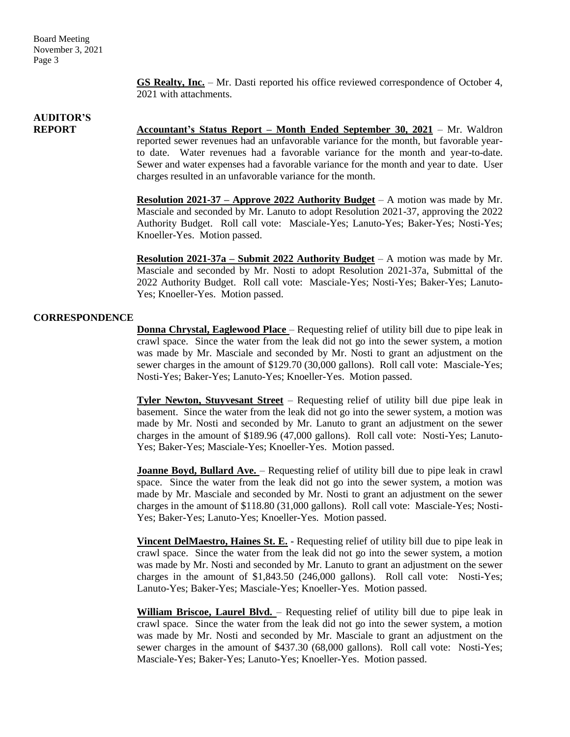> **GS Realty, Inc.** – Mr. Dasti reported his office reviewed correspondence of October 4, 2021 with attachments.

### **AUDITOR'S**

**REPORT Accountant's Status Report – Month Ended September 30, 2021** – Mr. Waldron reported sewer revenues had an unfavorable variance for the month, but favorable yearto date. Water revenues had a favorable variance for the month and year-to-date. Sewer and water expenses had a favorable variance for the month and year to date. User charges resulted in an unfavorable variance for the month.

> **Resolution 2021-37 – Approve 2022 Authority Budget** – A motion was made by Mr. Masciale and seconded by Mr. Lanuto to adopt Resolution 2021-37, approving the 2022 Authority Budget. Roll call vote: Masciale-Yes; Lanuto-Yes; Baker-Yes; Nosti-Yes; Knoeller-Yes. Motion passed.

> **Resolution 2021-37a – Submit 2022 Authority Budget** – A motion was made by Mr. Masciale and seconded by Mr. Nosti to adopt Resolution 2021-37a, Submittal of the 2022 Authority Budget. Roll call vote: Masciale-Yes; Nosti-Yes; Baker-Yes; Lanuto-Yes; Knoeller-Yes. Motion passed.

### **CORRESPONDENCE**

**Donna Chrystal, Eaglewood Place** – Requesting relief of utility bill due to pipe leak in crawl space. Since the water from the leak did not go into the sewer system, a motion was made by Mr. Masciale and seconded by Mr. Nosti to grant an adjustment on the sewer charges in the amount of \$129.70 (30,000 gallons). Roll call vote: Masciale-Yes; Nosti-Yes; Baker-Yes; Lanuto-Yes; Knoeller-Yes. Motion passed.

**Tyler Newton, Stuyvesant Street** – Requesting relief of utility bill due pipe leak in basement. Since the water from the leak did not go into the sewer system, a motion was made by Mr. Nosti and seconded by Mr. Lanuto to grant an adjustment on the sewer charges in the amount of \$189.96 (47,000 gallons). Roll call vote: Nosti-Yes; Lanuto-Yes; Baker-Yes; Masciale-Yes; Knoeller-Yes. Motion passed.

**Joanne Boyd, Bullard Ave.** – Requesting relief of utility bill due to pipe leak in crawl space. Since the water from the leak did not go into the sewer system, a motion was made by Mr. Masciale and seconded by Mr. Nosti to grant an adjustment on the sewer charges in the amount of \$118.80 (31,000 gallons). Roll call vote: Masciale-Yes; Nosti-Yes; Baker-Yes; Lanuto-Yes; Knoeller-Yes. Motion passed.

**Vincent DelMaestro, Haines St. E.** - Requesting relief of utility bill due to pipe leak in crawl space. Since the water from the leak did not go into the sewer system, a motion was made by Mr. Nosti and seconded by Mr. Lanuto to grant an adjustment on the sewer charges in the amount of \$1,843.50 (246,000 gallons). Roll call vote: Nosti-Yes; Lanuto-Yes; Baker-Yes; Masciale-Yes; Knoeller-Yes. Motion passed.

**William Briscoe, Laurel Blvd.** – Requesting relief of utility bill due to pipe leak in crawl space. Since the water from the leak did not go into the sewer system, a motion was made by Mr. Nosti and seconded by Mr. Masciale to grant an adjustment on the sewer charges in the amount of \$437.30 (68,000 gallons). Roll call vote: Nosti-Yes; Masciale-Yes; Baker-Yes; Lanuto-Yes; Knoeller-Yes. Motion passed.